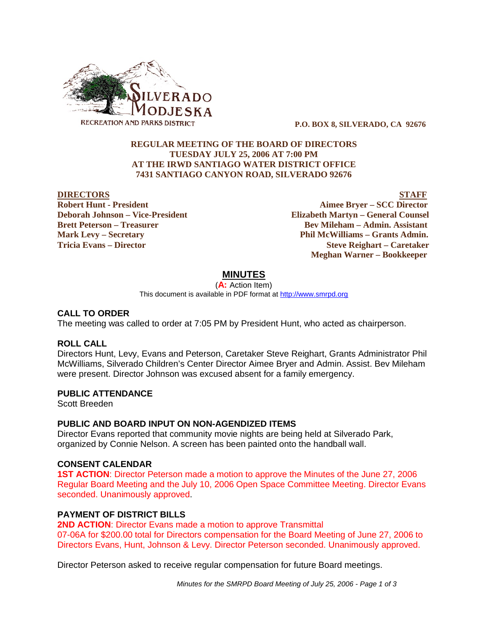

 **P.O. BOX 8, SILVERADO, CA 92676**

## **REGULAR MEETING OF THE BOARD OF DIRECTORS TUESDAY JULY 25, 2006 AT 7:00 PM AT THE IRWD SANTIAGO WATER DISTRICT OFFICE 7431 SANTIAGO CANYON ROAD, SILVERADO 92676**

#### **DIRECTORS** STAFF

**Robert Hunt - President Aimee Bryer – SCC Director Deborah Johnson – Vice-President Elizabeth Martyn – General Counsel Brett Peterson – Treasurer Serverson – Bev Mileham – Admin. Assistant Mark Levy – Secretary Phil McWilliams – Grants Admin. Tricia Evans – Director Steve Reighart – Caretaker Meghan Warner – Bookkeeper**

# **MINUTES**

(**A:** Action Item) This document is available in PDF format at http://www.smrpd.org

### **CALL TO ORDER**

The meeting was called to order at 7:05 PM by President Hunt, who acted as chairperson.

### **ROLL CALL**

Directors Hunt, Levy, Evans and Peterson, Caretaker Steve Reighart, Grants Administrator Phil McWilliams, Silverado Children's Center Director Aimee Bryer and Admin. Assist. Bev Mileham were present. Director Johnson was excused absent for a family emergency.

# **PUBLIC ATTENDANCE**

Scott Breeden

# **PUBLIC AND BOARD INPUT ON NON-AGENDIZED ITEMS**

Director Evans reported that community movie nights are being held at Silverado Park, organized by Connie Nelson. A screen has been painted onto the handball wall.

### **CONSENT CALENDAR**

**1ST ACTION**: Director Peterson made a motion to approve the Minutes of the June 27, 2006 Regular Board Meeting and the July 10, 2006 Open Space Committee Meeting. Director Evans seconded. Unanimously approved.

# **PAYMENT OF DISTRICT BILLS**

**2ND ACTION**: Director Evans made a motion to approve Transmittal 07-06A for \$200.00 total for Directors compensation for the Board Meeting of June 27, 2006 to Directors Evans, Hunt, Johnson & Levy. Director Peterson seconded. Unanimously approved.

Director Peterson asked to receive regular compensation for future Board meetings.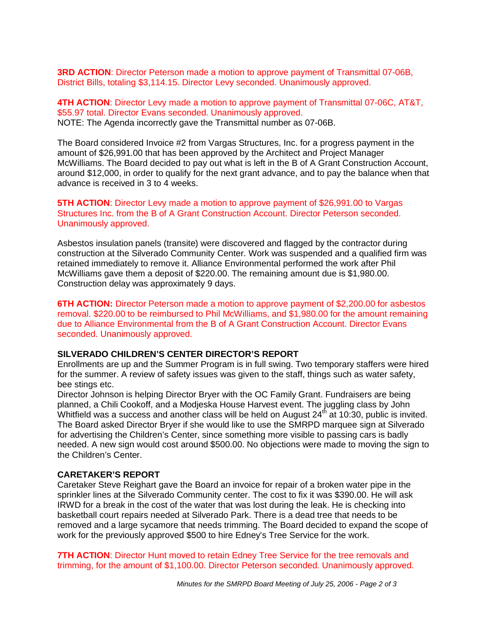**3RD ACTION**: Director Peterson made a motion to approve payment of Transmittal 07-06B, District Bills, totaling \$3,114.15. Director Levy seconded. Unanimously approved.

**4TH ACTION**: Director Levy made a motion to approve payment of Transmittal 07-06C, AT&T, \$55.97 total. Director Evans seconded. Unanimously approved. NOTE: The Agenda incorrectly gave the Transmittal number as 07-06B.

The Board considered Invoice #2 from Vargas Structures, Inc. for a progress payment in the amount of \$26,991.00 that has been approved by the Architect and Project Manager McWilliams. The Board decided to pay out what is left in the B of A Grant Construction Account, around \$12,000, in order to qualify for the next grant advance, and to pay the balance when that advance is received in 3 to 4 weeks.

### **5TH ACTION**: Director Levy made a motion to approve payment of \$26,991.00 to Vargas Structures Inc. from the B of A Grant Construction Account. Director Peterson seconded. Unanimously approved.

Asbestos insulation panels (transite) were discovered and flagged by the contractor during construction at the Silverado Community Center. Work was suspended and a qualified firm was retained immediately to remove it. Alliance Environmental performed the work after Phil McWilliams gave them a deposit of \$220.00. The remaining amount due is \$1,980.00. Construction delay was approximately 9 days.

**6TH ACTION:** Director Peterson made a motion to approve payment of \$2,200.00 for asbestos removal. \$220.00 to be reimbursed to Phil McWilliams, and \$1,980.00 for the amount remaining due to Alliance Environmental from the B of A Grant Construction Account. Director Evans seconded. Unanimously approved.

### **SILVERADO CHILDREN'S CENTER DIRECTOR'S REPORT**

Enrollments are up and the Summer Program is in full swing. Two temporary staffers were hired for the summer. A review of safety issues was given to the staff, things such as water safety, bee stings etc.

Director Johnson is helping Director Bryer with the OC Family Grant. Fundraisers are being planned, a Chili Cookoff, and a Modjeska House Harvest event. The juggling class by John Whitfield was a success and another class will be held on August  $24<sup>th</sup>$  at 10:30, public is invited. The Board asked Director Bryer if she would like to use the SMRPD marquee sign at Silverado for advertising the Children's Center, since something more visible to passing cars is badly needed. A new sign would cost around \$500.00. No objections were made to moving the sign to the Children's Center.

### **CARETAKER'S REPORT**

Caretaker Steve Reighart gave the Board an invoice for repair of a broken water pipe in the sprinkler lines at the Silverado Community center. The cost to fix it was \$390.00. He will ask IRWD for a break in the cost of the water that was lost during the leak. He is checking into basketball court repairs needed at Silverado Park. There is a dead tree that needs to be removed and a large sycamore that needs trimming. The Board decided to expand the scope of work for the previously approved \$500 to hire Edney's Tree Service for the work.

**7TH ACTION:** Director Hunt moved to retain Edney Tree Service for the tree removals and trimming, for the amount of \$1,100.00. Director Peterson seconded. Unanimously approved.